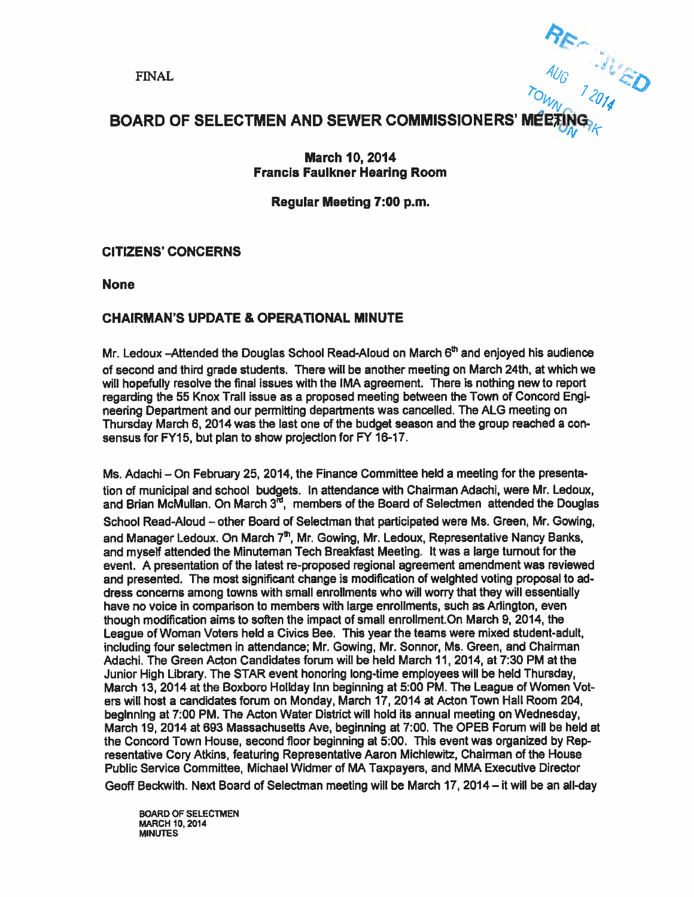$\frac{A_{U}}{A_{U}}$  $\omega_{l_2}$ 

## BOARD OF SELECTMEN AND SEWER COMMISSIONERS' M

#### March 10, 2014 Francis Faulkner Hearing Room

## Regular Meeting 7:00 p.m.

### CITIZENS' CONCERNS

None

## CHAIRMAN'S UPDATE & OPERATIONAL MINUTE

Mr. Ledoux –Attended the Douglas School Read-Aloud on March  $6<sup>th</sup>$  and enjoyed his audience of second and third grade students. There will be another meeting on March 24th, at which we will hopefully resolve the final issues with the IMA agreement. There is nothing new to repor<sup>t</sup> regarding the 55 Knox Trail issue as <sup>a</sup> proposed meeting between the Town of Concord Engi neering Department and our permitting departments was cancelled. The ALG meeting on Thursday March 6, 2014 was the last one of the budget season and the group reached <sup>a</sup> con sensus for FY15, but plan to show projection for FY 16-17.

Ms. Adachi — On February 25, 2014, the Finance Committee held <sup>a</sup> meeting for the presenta tion of municipal and school budgets. In attendance with Chairman Adachi, were Mr. Ledoux, and Brian McMullan. On March  $3<sup>rd</sup>$ , members of the Board of Selectmen attended the Douglas School Read-Aloud — other Board of Selectman that participated were Ms. Green, Mr. Sowing, and Manager Ledoux. On March  $7<sup>th</sup>$ , Mr. Gowing, Mr. Ledoux, Representative Nancy Banks, and myself attended the Minuteman Tech Breakfast Meeting. It was <sup>a</sup> large turnout for the event. A presentation of the latest re-proposed regional agreemen<sup>t</sup> amendment was reviewed and presented. The most significant change is modification of weighted voting proposal to ad dress concerns among towns with small enrollments who will worry that they will essentially have no voice in comparison to members with large enrollments, such as Arlington, even though modification aims to soften the impact of small enrollment.On March 9, 2014, the League of Woman Voters held <sup>a</sup> Civics Bee. This year the teams were mixed student-adult, including four selectmen in attendance; Mr. Gowing, Mr. Sonnor, Ms. Green, and Chairman Adachi. The Green Acton Candidates forum will be held March 11, 2014, at 7:30 PM at the Junior High Library. The STAR event honoring long-time employees will be held Thursday, March 13, 2014 at the Boxboro Holiday Inn beginning at 5:00 PM. The League of Women Vot ers will host <sup>a</sup> candidates forum on Monday, March 17, 2014 at Acton Town Hall Room 204, beginning at 7:00 PM. The Acton Water District will hold its annual meeting on Wednesday, March 19, 2014 at 693 Massachusetts Ave. beginning at 7:00. The OPEB Forum will be held at the Concord Town House, second floor beginning at 5:00. This event was organized by Rep resentative Gory Atkins, featuring Representative Aaron Michlewift, Chairman of the House Public Service Committee, Michael Widmer of MA Taxpayers, and MMA Executive Director

Geoff Beckwith, Next Board of Selectman meeting wilt be March 17, 2014— it will be an all-day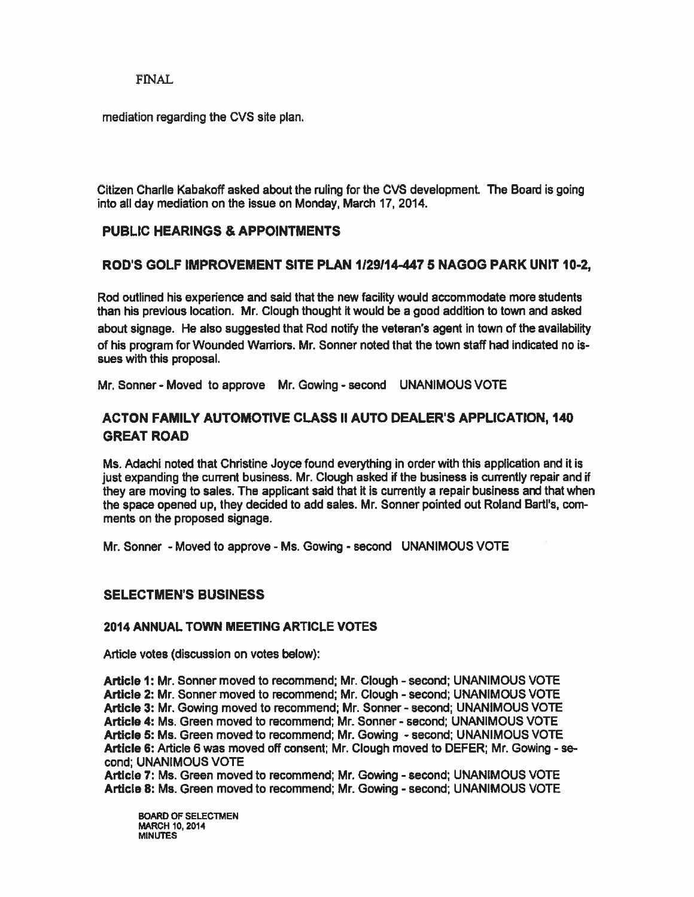### FINAL

mediation regarding the CVS site plan.

Citizen Charlie Kabakoff asked about the ruling for the CVS development. The Board is going into all day mediation on the issue on Monday, March 17, 2014.

### PUBLIC HEARINGS & APPOINTMENTS

#### ROD'S GOLF IMPROVEMENT SITE PLAN 1129114-4475 NAGOG PARK UNIT 10-2,

Rod outlined his experience and said that the new facility would accommodate more students than his previous location. Mr. Clough thought it would be a good addition to town and asked about signage. He also suggested that Rod notify the veteran's agen<sup>t</sup> in town of the availability of his program for Wounded Warriors. Mr. Sonner noted that the town staff had indicated no is sues with this proposal.

Mr Sonner - Moved to approve Mr. Gowing -second UNANIMOUS VOTE

## ACTON FAMILY AUTOMOTIVE CLASS II AUTO DEALER'S APPLICATION, 140 GREAT ROAD

Ms. Adachi noted that Christine Joyce found everything in order with this application and it is just expanding the current business. Mr. Clough asked if the business is currently repair and if they are moving to sales. The applicant said that it is currently <sup>a</sup> repair business and that when the space opened up, they decided to add sales. Mr. Sonner pointed out Roland Bartl's, com ments on the proposed signage.

Mr. Sonner - Moved to approve - Ms. Gowing - second UNANIMOUS VOTE

#### SELECTMEN'S BUSINESS

#### 2014 ANNUAL TOWN MEETING ARTICLE VOTES

Article votes (discussion on votes below):

Article 1: Mr. Sonner moved to recommend; Mr. Clough - second; UNANIMOUS VOTE Article 2: Mr. Sonner moved to recommend; Mr. Clough - second; UNANIMOUS VOTE Article 3: Mr. Gowing moved to recommend; Mr. Sonner - second; UNANIMOUS VOTE Article 4: Ms. Green moved to recommend; Mr Sonner -second; UNANIMOUS VOTE Article 5: Ms. Green moved to recommend; Mr. Gowing - second; UNANIMOUS VOTE Article 6: Article 6 was moved off consent; Mr. Clough moved to DEFER; Mr. Gowing -se cond; UNANIMOUS VOTE

Article 7: Ms. Green moved to recommend; Mr. Gowing - second; UNANIMOUS VOTE Article 8: Ms. Green moved to recommend; Mr. Gowing - second; UNANIMOUS VOTE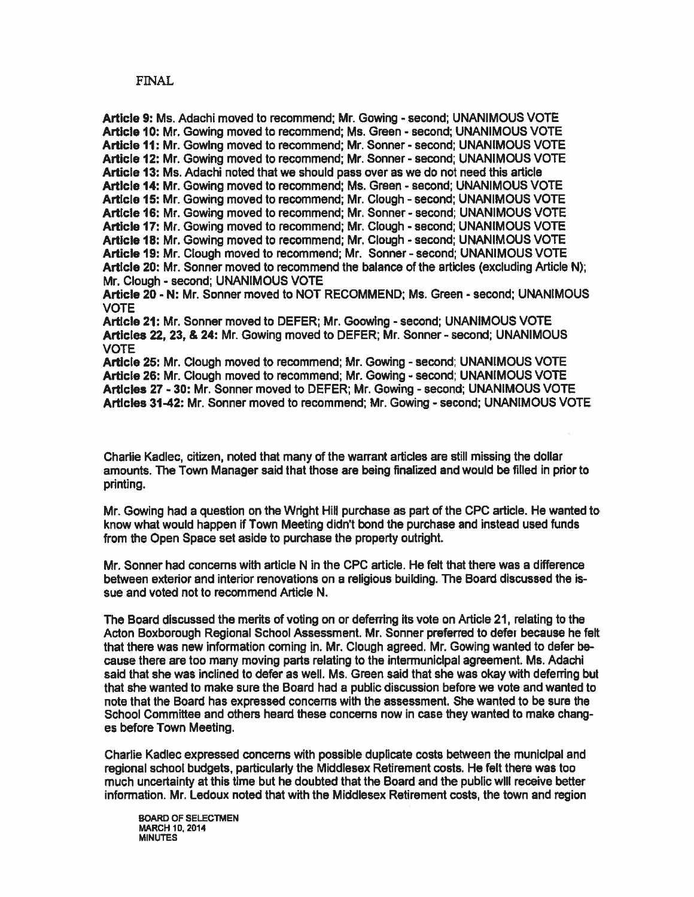#### FINAL

Article 9: Ms. Adachi moved to recommend; Mr. Gowing - second; UNANIMOUS VOTE Article 10: Mr. Gowing moved to recommend; Ms. Green - second; UNANIMOUS VOTE Article 11: Mr. Gowlng moved to recommend: Mr. Sonner - second: UNANIMOUS VOTE Article 12: Mr. Gowing moved to recommend; Mr. Sonner - second; UNANIMOUS VOTE Article 13: Ms. Adachi noted that we should pass over as we do not need this article Article 14: Mr. Sowing moved to recommend; Ms. Green -second; UNANIMOUS VOTE Article 15: Mr. Gowing moved to recommend; Mr. Clough - second; UNANIMOUS VOTE Article 16: Mr. Gowing moved to recommend; Mr. Sonner - second; UNANIMOUS VOTE Article 17: Mr. Sowing moved to recommend; Mr. Clough -second; UNANIMOUS VOTE Article 18: Mr. Gowing moved to recommend; Mr. Clough - second; UNANIMOUS VOTE Article 19: Mr. Clough moved to recommend; Mr. Sonner - second; UNANIMOUS VOTE Article 20: Mr. Sonner moved to recommend the balance of the articles (excluding Article N); Mr. Clough - second; UNANIMOUS VOTE Article 20 - N: Mr. Sonner moved to NOT RECOMMEND; Ms. Green - second; UNANIMOUS VOTE Article 21: Mr. Sonner moved to DEFER; Mr. Goowing -second; UNANIMOUS VOTE Articles 22, 23, & 24: Mr. Gowing moved to DEFER; Mr. Sonner -second; UNANIMOUS VOTE Article 25: Mr. Clough moved to recommend; Mr. Gowing - second; UNANIMOUS VOTE Article 26: Mr. Clough moved to recommend: Mr. Gowing - second: UNANIMOUS VOTE Articles 27 - 30: Mr. Sonner moved to DEFER; Mr. Gowing -second; UNANIMOUS VOTE Articles 31-42: Mr. Sonner moved to recommend; Mr. Gowing - second; UNANIMOUS VOTE

Charlie Kadlec, citizen, noted that many of the warrant articles are still missing the dollar amounts. The Town Manager said that those are being finalized and would be filled in prior to printing.

Mr. Gowing had a question on the Wright Hill purchase as part of the CPC article. He wanted to know what would happen if Town Meeting didn't bond the purchase and instead used funds from the Open Space set aside to purchase the property outright.

Mr. Sonner had concerns with article N in the CPC article. He felt that there was <sup>a</sup> difference between exterior and interior renovations on <sup>a</sup> religious building. The Board discussed the is sue and voted not to recommend Article N.

The Board discussed the merits of voting on or deferring its vote on Article 21, relating to the Acton Boxborough Regional School Assessment. Mr. Sonner preferred to defer because he felt that there was new information coming in. Mr. Clough agreed. Mr. Gowing wanted to defer be cause there are too many moving parts relating to the intermunicipal agreement. Ms. Adachi said that she was inclined to defer as well. Ms. Green said that she was okay with deferring but that she wanted to make sure the Board had <sup>a</sup> public discussion before we vote and wanted to note that the Board has expressed concerns with the assessment. She wanted to be sure the School Committee and others heard these concerns now in case they wanted to make chang es before Town Meeting.

Charlie Kadlec expressed concerns with possible duplicate costs between the municipal and regional school budgets, particularly the Middlesex Retirement costs. He felt there was too much uncertainty at this time but he doubted that the Board and the public will receive better information. Mr. Ledoux noted that with the Middlesex Retirement costs, the town and region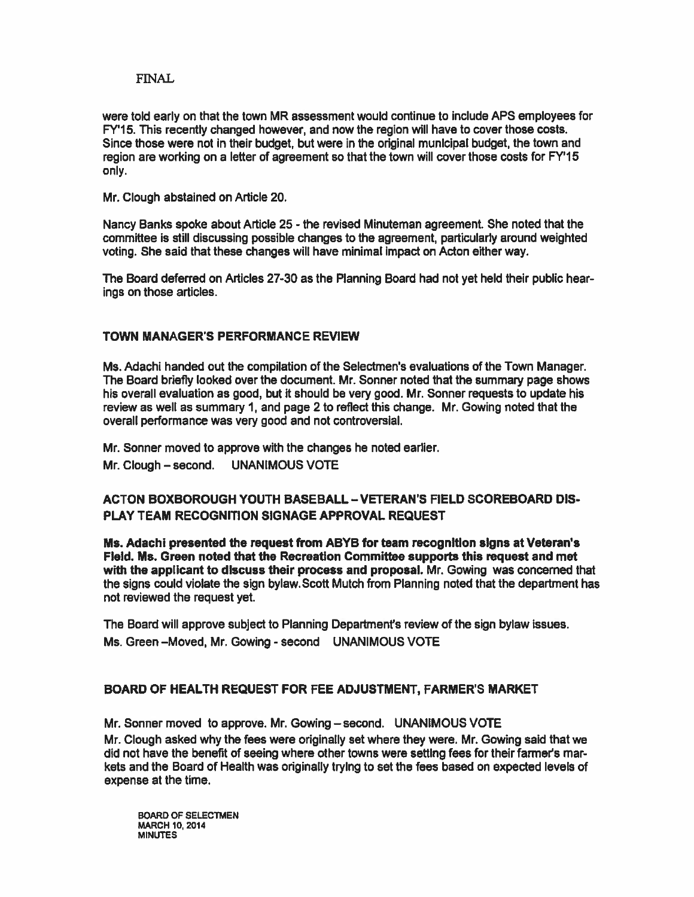#### FINAL.

were told early on that the town MR assessment would continue to include APS employees for FY'15. This recently changed however, and now the region will have to cover those costs. Since those were not in their budget, but were in the original municipal budget, the town and region are working on <sup>a</sup> letter of agreemen<sup>t</sup> so that the town will cover those costs for FY'15 only.

Mr. Clough abstained on Article 20.

Nancy Banks spoke about Article 25 - the revised Minuteman agreement. She noted that the committee is still discussing possible changes to the agreement, particularly around weighted voting. She said that these changes will have minimal impact on Acton either way.

The Board deferred on Articles 27-30 as the Planning Board had not yet held their public hearings on those articles.

### TOWN MANAGER'S PERFORMANCE REVIEW

Ms. Adachi handed out the compilation of the Selectmen's evaluations of the Town Manager. The Board briefly looked over the document. Mr. Sonner noted that the summary page shows his overall evaluation as good, but it should be very good. Mr. Sonner requests to update his review as well as summary 1, and page 2 to reflect this change. Mr. Gowing noted that the overall performance was very good and not controversial.

Mr. Sonner moved to approve with the changes he noted earlier.

Mr. Clough – second. UNANIMOUS VOTE

## ACTON BOXBOROUGH YOUTH BASEBALL-VETERAN'S FIELD SCOREBOARD DIS PLAY TEAM RECOGNITION SIGNAGE APPROVAL REQUEST

Ms. Adachi presented the request from ABYB for team recognition signs at Veteran's Field. Ms. Green noted that the Recreation Committee supports this reques<sup>t</sup> and met with the applicant to discuss their process and proposal. Mr. Gowing was concerned that the signs could violate the sign bylaw. Scott Mutch from Planning noted that the department has not reviewed the reques<sup>t</sup> yet.

The Board will approve subject to Planning Department's review of the sign bylaw issues. Ms. Green - Moved, Mr. Gowing - second UNANIMOUS VOTE

#### BOARD OF HEALTH REQUEST FOR FEE ADJUSTMENT, FARMER'S MARKET

Mr. Sonner moved to approve. Mr. Gowing—second. UNANIMOUS VOTE Mr. dough asked why the fees were originally set where they were. Mr. Gowing said that we did not have the benefit of seeing where other towns were selling fees for their farmer's mar kets and the Board of Health was originally trying to set the fees based on expected levels of expense at the time.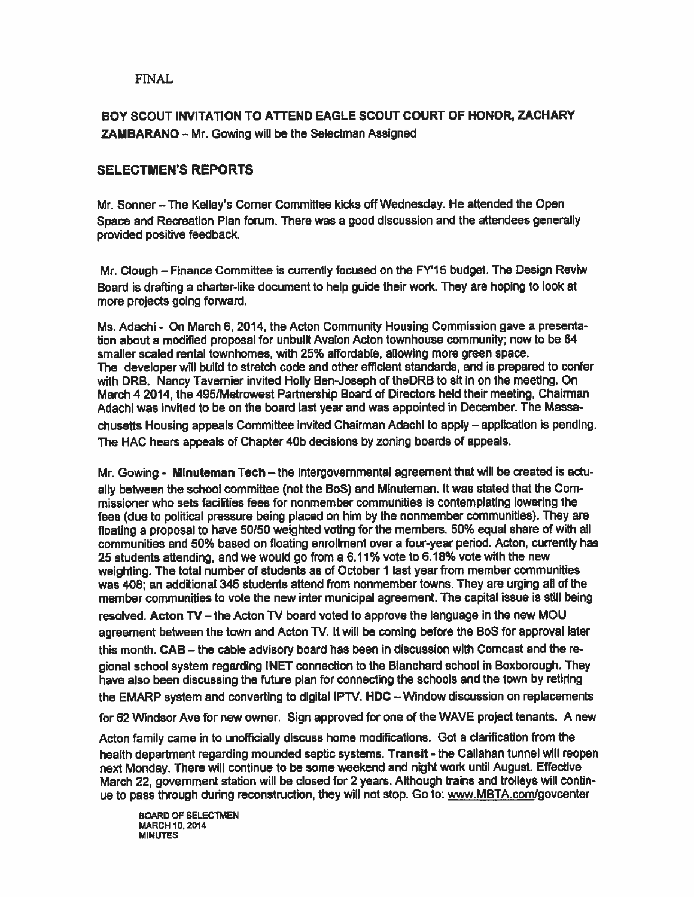## FNAL

## BOY SCOUT INVITATION TO ATTEND EAGLE SCOUT COURT OF HONOR, ZACHARY ZAMBARANO — Mr. Gowing will be the Selectman Assigned

## SELECTMEN'S REPORTS

Mr. Sonner — The Kelley's Corner Committee kicks off Wednesday. He attended the Open Space and Recreation Plan forum. There was <sup>a</sup> goo<sup>d</sup> discussion and the attendees generally provided positive feedback.

Mr. Clough — Finance Committee is currently focused on the FY15 budget. The Design Reviw Board is drafting <sup>a</sup> charter-like document to help guide their work. They are hoping to look at more projects going forward.

Ms. Adachi - On March 6, 2014, the Acton Community Housing Commission gave <sup>a</sup> presenta tion about <sup>a</sup> modified proposa<sup>l</sup> for unbuilt Avalon Acton townhouse community; now to be 64 smaller scaled rental townhomes, with 25% affordable, allowing more green space. The developer will build to stretch code and other efficient standards, and is prepared to confer with DRB. Nancy Tavemier invited Holly Ben-Joseph of theDRB to sit in on the meeting. On March 42014, the 495/Metrowest Partnership Board of Directors held their meeting, Chairman Adachi was invited to be on the board last year and was appointed in December. The Massa chusetts Housing appeals Committee invited Chairman Adachi to apply — application is pending, The HAC hears appeals of Chapter 40b decisions by zoning boards of appeals.

Mr. Gowing - Minuteman Tech —the intergovernmental agreemen<sup>t</sup> that will be created is actu ally between the school committee (not the BoS) and Minuteman. It was stated that the Com missioner who sets facilities fees for nonmember communities is contemplating lowering the fees (due to political pressure being placed on him by the nonmember communities). They are floating <sup>a</sup> proposa<sup>l</sup> to have 50(50 weighted voting for the members. 50% equa<sup>l</sup> share of with all communities and 50% based on floating enrollment over <sup>a</sup> four-year period. Acton, currently has 25 students attending, and we would go from <sup>a</sup> 6.11% vote to 6.18% vote with the new weighting. The total number of students as of October <sup>1</sup> last year from member communities was 408; an additional 345 students attend from nonmember towns. They are urging all of the member communities to vote the new inter municipal agreement. The capital issue is still being resolved. Acton TV — the Acton TV board voted to approve the language in the new MOU agreemen<sup>t</sup> between the town and Acton TV. It will be coming before the BoS for approva<sup>l</sup> later this month. CAB — the cable advisory board has been in discussion with Comcast and the re <sup>g</sup>ional school system regarding INET connection to the Blanchard school in Boxborough. They have also been discussing the future <sup>p</sup>lan for connecting the schools and the town by retiring the EMARP system and converting to digital IPTV. HDC - Window discussion on replacements for 62 Windsor Ave for new owner. Sign approved for one of the WAVE project tenants. A new

Acton family came in to unofficially discuss home modifications. Got <sup>a</sup> clarification ftom the health department regarding mounded septic systems. Transit - the Callahan tunnel will reopen next Monday. There will continue to be some weekend and night work until August. Effective March 22, governmen<sup>t</sup> station will be closed for <sup>2</sup> years. Although trains and trolleys will contin ue to pass through during reconstruction, they will not stop. Go to: www.MBTA.com/govcenter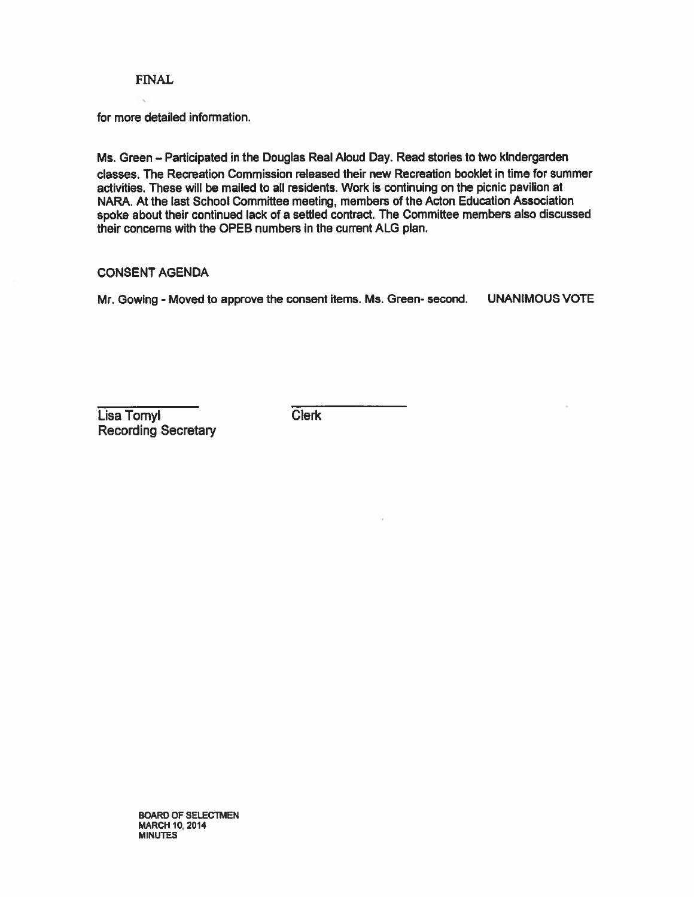#### FINAL

for more detailed information.

Ms. Green - Participated in the Douglas Real Aloud Day. Read stories to two kindergarden dasses. The Recreation Commission released their new Recreation booklet in time for summer activities. These will be mailed to all residents. Work is continuing on the picnic pavilion at NARA At the last School Committee meeting, members of the Acton Education Association spoke about their continued lack of <sup>a</sup> settled contract. The Committee members also discussed their concerns with the OPEB numbers in the current ALG plan.

#### CONSENT AGENDA

Mr. Gowing - Moved to approve the consent items. Ms. Green- second. UNANIMOUS VOTE

Lisa Tomyl Clerk Recording Secretary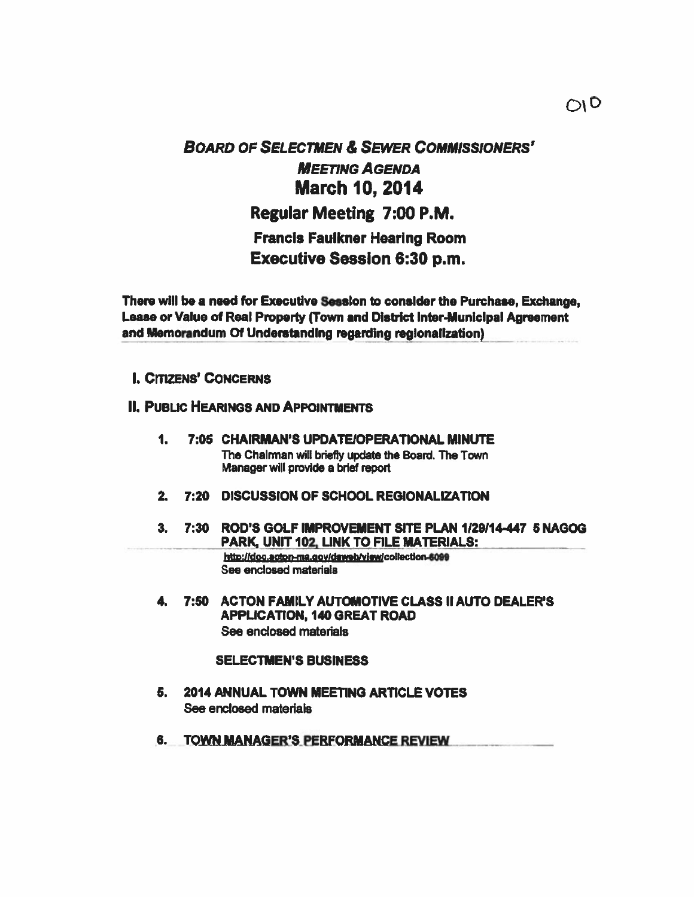# BOARD OF SELECTMEN & SEwER COMMISSIONERS' MEETING AGENDA March 10, 2014 Regular Meeting 7:00 P.M. Francis Faulkner Hearing Room Executive Session 6:30 p.m.

There will be a need for Executive Session to consider the Purchase, Exchange, Lease or Value of Real Property (Town and District Inter-Municipal Agreement and Memorandum Of Understanding regarding regionalization)

I. CITIZENS' CONCERNS

## **II. PUBLIC HEARINGS AND APPOINTMENTS**

- 1. 7:05 CHAIRMAN'S UPDATEIOPERATIONAL MINUTE The Chairman will briefly update the Board. The Town Manager will provide <sup>a</sup> brief repor<sup>t</sup>
- 2. 7:20 DISCUSSION OF SCHOOL REGIONALIZATION
- 3. 7:30 ROD'S GOLF IMPROVEMENT SITE PLAN 1/29/14-447 5 NAGOG PARK, UNIT 102, LINK TO FILE MATERIALS: http://doc.acton-ma.gov/daweb/view/collection-6099 See enclosed materials
	- 4. 7:50 ACTON FAMILY AUTOMOTIVE CLASS II AUTO DEALER'S APPLICATION, 140 GREAT ROAD See enclosed materials

#### SELECTMEN'S BUSINESS

- 5. 2014 ANNUAL TOWN MEETING ARTICLE VOTES See enclosed materials
- 6. TOWN MANAGER'S PERFORMANCE REVIEW.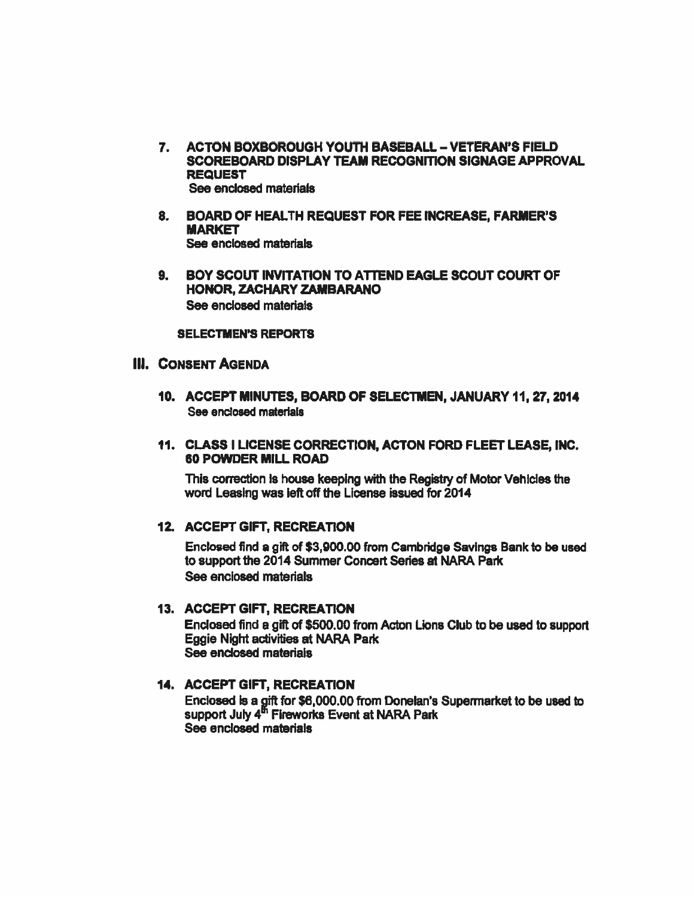- 7. ACTON BOXBOROUGH YOUTH BASEBALL VETERAN'S FIELD SCOREBOARD DISPLAY TEAM RECOGNITION SIGNAGE APPROVAL REQUEST See enclosed materials
- 8. BOARD OF HEALTH REQUEST FOR FEE INCREASE, FARMER'S MARKET See enclosed materials
- 9. BOY SCOUT INVITATION TO ATTEND EAGLE SCOUT COURT OF HONOR, ZACHARY ZAMBARANO See enclosed materials

SELECTMEN'S REPORTS

## Ill. CONSENT AGENDA

- 10. ACCEPT MINUTES, BOARD OF SELECTMEN, JANUARY 11,27,2014 See enclosed materials
- 11. CLASS I LICENSE CORRECTION, ACTON FORD FLEET LEASE, INC. 60 POWDER MILL ROAD

This correction is house keeping with the Registiy of Motor Vehicles the word Leasing was left off the License issued for 2014

#### 12. ACCEPT GIFT, RECREATION

Enclosed find <sup>a</sup> gift of \$3,900.00 from Cambridge Savings Bank to be used to suppor<sup>t</sup> the 2014 Summer Concert Series at NARA Park See enclosed materials

#### 13. ACCEPT GIFT, RECREATION

Enclosed find <sup>a</sup> gift of \$500.00 from Acton Lions Club to be used to suppor<sup>t</sup> Eggie Night activities at NARA Park See enclosed materials

## 14. ACCEPT GIFT, RECREATION

Enclosed is <sup>a</sup> gift for \$6,000.00 from Donelan's Supermarket to be used to support July 4<sup>m</sup> Fireworks Event at NARA Park See enclosed materials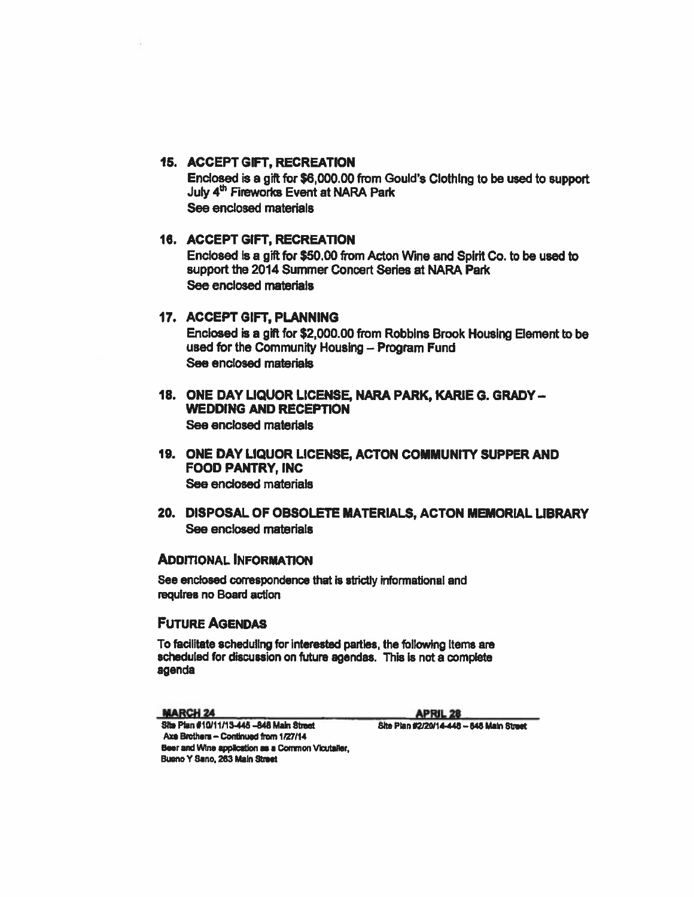#### **15. ACCEPT GIFT, RECREATION**

Enclosed is a gift for \$6,000.00 from Gould's Clothing to be used to support July 4<sup>th</sup> Fireworks Event at NARA Park See enclosed materials

## **16. ACCEPT GIFT, RECREATION**

Enclosed is a gift for \$50.00 from Acton Wine and Spirit Co. to be used to support the 2014 Summer Concert Series at NARA Park See enclosed materials

#### 17. ACCEPT GIFT, PLANNING

Enclosed is a gift for \$2,000.00 from Robbins Brook Housing Element to be used for the Community Housing - Program Fund See enclosed materials

- 18. ONE DAY LIQUOR LICENSE, NARA PARK, KARIE G. GRADY -**WEDDING AND RECEPTION** See enclosed materials
- 19. ONE DAY LIQUOR LICENSE, ACTON COMMUNITY SUPPER AND **FOOD PANTRY, INC** See enclosed materials
- 20. DISPOSAL OF OBSOLETE MATERIALS, ACTON MEMORIAL LIBRARY See enclosed materials

### **ADDITIONAL INFORMATION**

See enclosed correspondence that is strictly informational and requires no Board action

## **FUTURE AGENDAS**

To facilitate scheduling for interested parties, the following items are scheduled for discussion on future agendas. This is not a complete agenda

**MARCH 24** 

**APRIL 28** 

Site Plan #2/20/14-448 - 848 Main Street

Site Plan #10/11/13-445 -848 Main Street Axe Brothers - Continued from 1/27/14 Beer and Wine application as a Common Vicutaller, Bueno Y Sano, 263 Main Street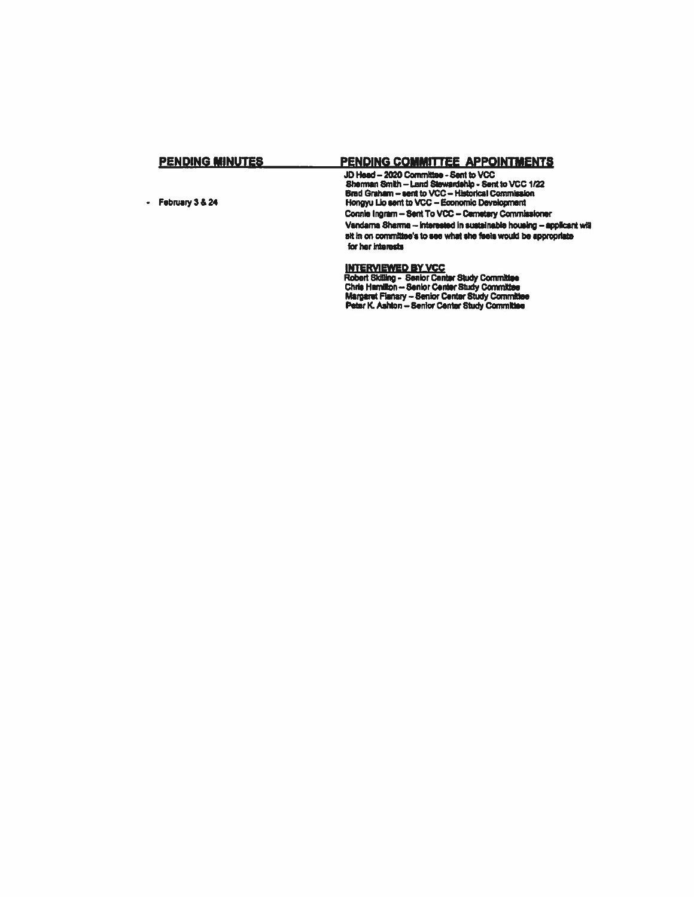#### **PENDING MINUTES** PENDING COMMITTEE APPOINTMENTS

- February 3 & 24

JD Head - 2020 Committee - Sent to VCC<br>Sherman Smith - Land Stewardship - Sent to VCC<br>Sherman Smith - Land Stewardship - Sent to VCC 1/22<br>Brad Graham - sent to VCC - Historical Commission<br>Hongyu Lio sent to VCC - Economic Connie Ingram - Sent To VCC - Cemetery Commissioner Vandama Sharma -- Interested in sustainable housing -- applicant will sit in on committee's to see what she feels would be appropriate for her interests

#### **INTERVIEWED BY VCC**

**INTERVIEWER BRIDT Center Study Committee<br>
Robert Skilling - Senior Center Study Committee<br>
Chris Hamilton -- Senior Center Study Committee<br>
Margaret Flanary -- Senior Center Study Committee<br>
Peter K. Ashton -- Senior Cent**